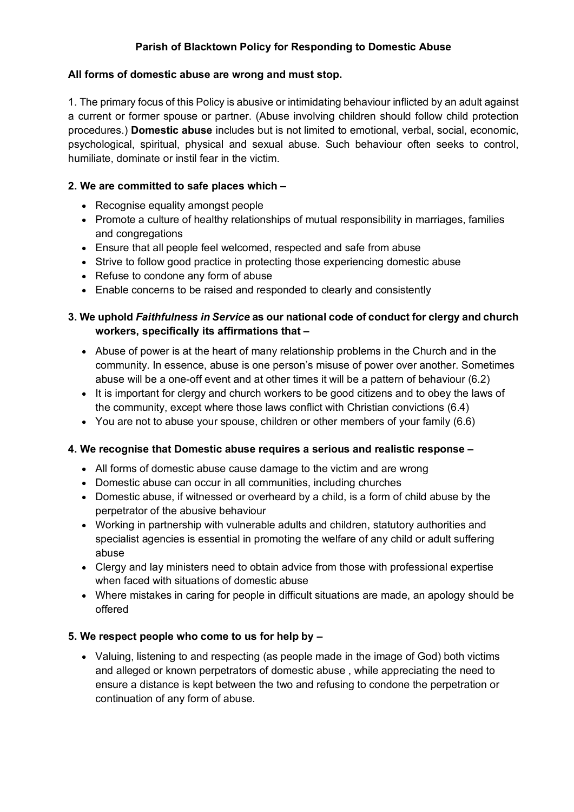# **Parish of Blacktown Policy for Responding to Domestic Abuse**

### **All forms of domestic abuse are wrong and must stop.**

1. The primary focus of this Policy is abusive or intimidating behaviour inflicted by an adult against a current or former spouse or partner. (Abuse involving children should follow child protection procedures.) **Domestic abuse** includes but is not limited to emotional, verbal, social, economic, psychological, spiritual, physical and sexual abuse. Such behaviour often seeks to control, humiliate, dominate or instil fear in the victim.

### **2. We are committed to safe places which –**

- Recognise equality amongst people
- Promote a culture of healthy relationships of mutual responsibility in marriages, families and congregations
- Ensure that all people feel welcomed, respected and safe from abuse
- Strive to follow good practice in protecting those experiencing domestic abuse
- Refuse to condone any form of abuse
- Enable concerns to be raised and responded to clearly and consistently

# **3. We uphold** *Faithfulness in Service* **as our national code of conduct for clergy and church workers, specifically its affirmations that –**

- Abuse of power is at the heart of many relationship problems in the Church and in the community. In essence, abuse is one person's misuse of power over another. Sometimes abuse will be a one-off event and at other times it will be a pattern of behaviour (6.2)
- It is important for clergy and church workers to be good citizens and to obey the laws of the community, except where those laws conflict with Christian convictions (6.4)
- You are not to abuse your spouse, children or other members of your family (6.6)

## **4. We recognise that Domestic abuse requires a serious and realistic response –**

- All forms of domestic abuse cause damage to the victim and are wrong
- Domestic abuse can occur in all communities, including churches
- Domestic abuse, if witnessed or overheard by a child, is a form of child abuse by the perpetrator of the abusive behaviour
- Working in partnership with vulnerable adults and children, statutory authorities and specialist agencies is essential in promoting the welfare of any child or adult suffering abuse
- Clergy and lay ministers need to obtain advice from those with professional expertise when faced with situations of domestic abuse
- Where mistakes in caring for people in difficult situations are made, an apology should be offered

#### **5. We respect people who come to us for help by –**

• Valuing, listening to and respecting (as people made in the image of God) both victims and alleged or known perpetrators of domestic abuse , while appreciating the need to ensure a distance is kept between the two and refusing to condone the perpetration or continuation of any form of abuse.